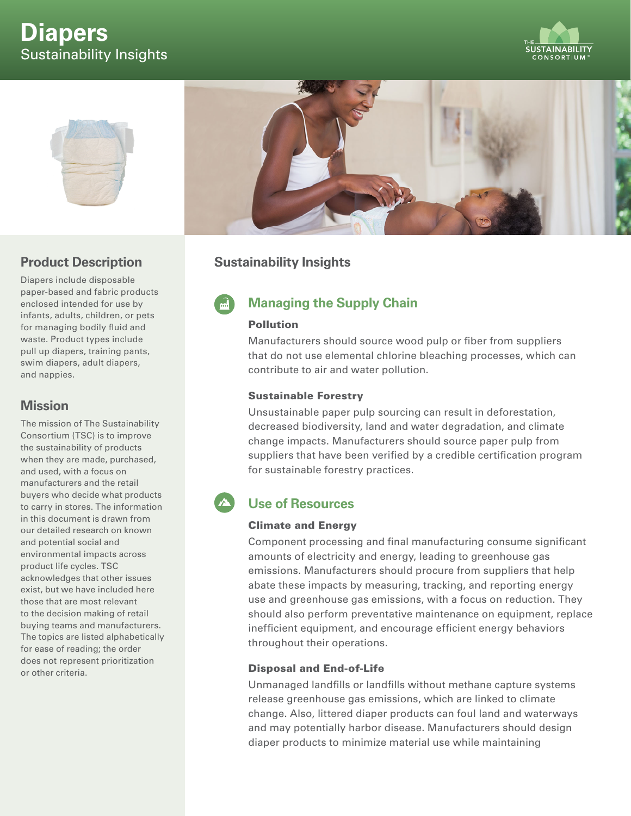# **Diapers** Sustainability Insights





### **Product Description**

Diapers include disposable paper-based and fabric products enclosed intended for use by infants, adults, children, or pets for managing bodily fluid and waste. Product types include pull up diapers, training pants, swim diapers, adult diapers, and nappies.

### **Mission**

The mission of The Sustainability Consortium (TSC) is to improve the sustainability of products when they are made, purchased, and used, with a focus on manufacturers and the retail buyers who decide what products to carry in stores. The information in this document is drawn from our detailed research on known and potential social and environmental impacts across product life cycles. TSC acknowledges that other issues exist, but we have included here those that are most relevant to the decision making of retail buying teams and manufacturers. The topics are listed alphabetically for ease of reading; the order does not represent prioritization or other criteria.



### **Sustainability Insights**

# **Managing the Supply Chain**

#### Pollution

Manufacturers should source wood pulp or fiber from suppliers that do not use elemental chlorine bleaching processes, which can contribute to air and water pollution.

#### Sustainable Forestry

Unsustainable paper pulp sourcing can result in deforestation, decreased biodiversity, land and water degradation, and climate change impacts. Manufacturers should source paper pulp from suppliers that have been verified by a credible certification program for sustainable forestry practices.

## **Use of Resources**

#### Climate and Energy

Component processing and final manufacturing consume significant amounts of electricity and energy, leading to greenhouse gas emissions. Manufacturers should procure from suppliers that help abate these impacts by measuring, tracking, and reporting energy use and greenhouse gas emissions, with a focus on reduction. They should also perform preventative maintenance on equipment, replace inefficient equipment, and encourage efficient energy behaviors throughout their operations.

#### Disposal and End-of-Life

Unmanaged landfills or landfills without methane capture systems release greenhouse gas emissions, which are linked to climate change. Also, littered diaper products can foul land and waterways and may potentially harbor disease. Manufacturers should design diaper products to minimize material use while maintaining